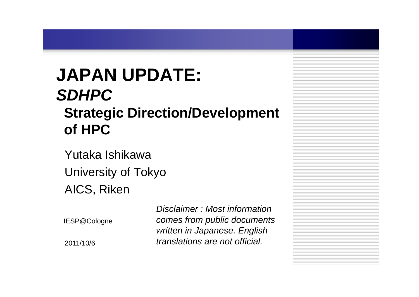# **JAPAN UPDATE:**  *SDHPC***Strategic Direction/Development of HPC**

Yutaka IshikawaUniversity of Tokyo AICS, Riken

IESP@Cologne

2011/10/6

*Disclaimer : Most information comes from public documents written in Japanese. English translations are not official.*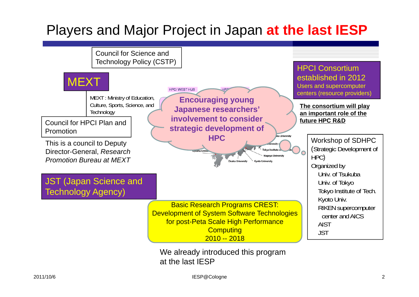## Players and Major Project in Japan **at the last IESP**



IESP@Cologne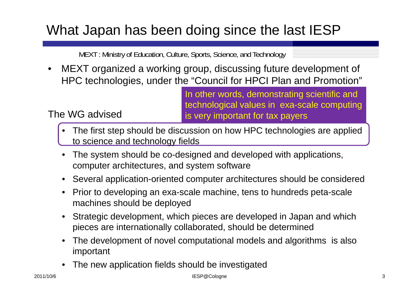## What Japan has been doing since the last IESP

MEXT : Ministry of Education, Culture, Sports, Science, and Technology

• MEXT organized a working group, discussing future development of HPC technologies, under the "Council for HPCI Plan and Promotion"

> In other words, demonstrating scientific and technological values in exa-scale computing is very important for tax payers

- • The first step should be discussion on how HPC technologies are applied to science and technology fields
- • The system should be co-designed and developed with applications, computer architectures, and system software
- Several application-oriented computer architectures should be considered
- • Prior to developing an exa-scale machine, tens to hundreds peta-scale machines should be deployed
- $\bullet$  Strategic development, which pieces are developed in Japan and which pieces are internationally collaborated, should be determined
- • The development of novel computational models and algorithms is also important
- •The new application fields should be investigated

The WG advised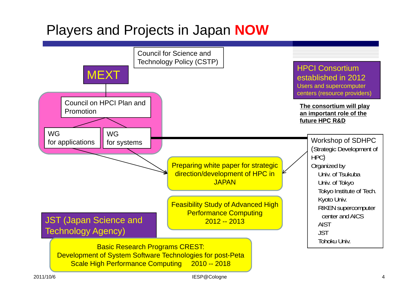### Players and Projects in Japan **NOW**



IESP@Cologne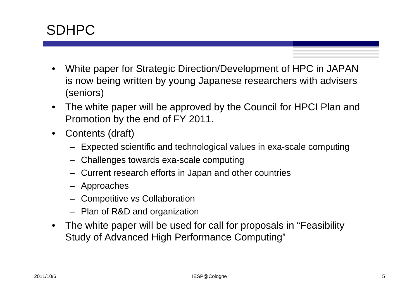### SDHPC

- • White paper for Strategic Direction/Development of HPC in JAPAN is now being written by young Japanese researchers with advisers (seniors)
- $\bullet$  The white paper will be approved by the Council for HPCI Plan and Promotion by the end of FY 2011.
- $\bullet$  Contents (draft)
	- Expected scientific and technological values in exa-scale computing
	- Challenges towards exa-scale computing
	- Current research efforts in Japan and other countries
	- Approaches
	- Competitive vs Collaboration
	- Plan of R&D and organization
- $\bullet$  The white paper will be used for call for proposals in "Feasibility Study of Advanced High Performance Computing"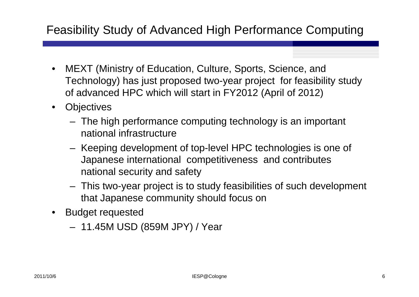### Feasibility Study of Advanced High Performance Computing

- • MEXT (Ministry of Education, Culture, Sports, Science, and Technology) has just proposed two-year project for feasibility study of advanced HPC which will start in FY2012 (April of 2012)
- $\bullet$ **Objectives** 
	- The high performance computing technology is an important national infrastructure
	- Keeping development of top-level HPC technologies is one of Japanese international competitiveness and contributes national security and safety
	- This two-year project is to study feasibilities of such development that Japanese community should focus on
- • Budget requested
	- 11.45M USD (859M JPY) / Year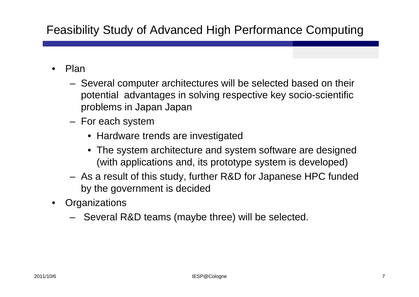- • Plan
	- Several computer architectures will be selected based on their potential advantages in solving respective key socio-scientific problems in Japan Japan
	- For each system
		- Hardware trends are investigated
		- The system architecture and system software are designed (with applications and, its prototype system is developed)
	- As a result of this study, further R&D for Japanese HPC funded by the government is decided
- •**Organizations** 
	- Several R&D teams (maybe three) will be selected.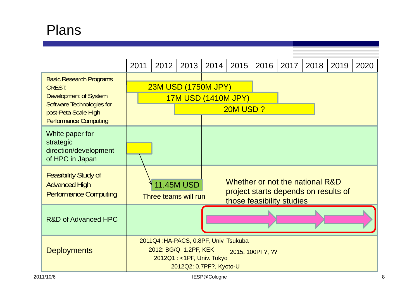## Plans

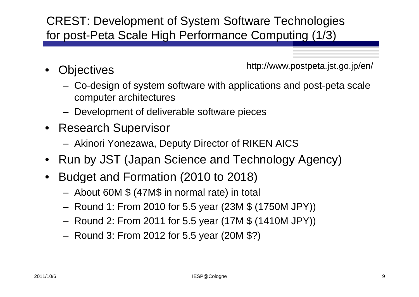### CREST: Development of System Software Technologies for post-Peta Scale High Performance Computing (1/3)

•**Objectives**  http://www.postpeta.jst.go.jp/en/

- Co-design of system software with applications and post-peta scale computer architectures
- Development of deliverable software pieces
- Research Supervisor
	- Akinori Yonezawa, Deputy Director of RIKEN AICS
- •Run by JST (Japan Science and Technology Agency)
- • Budget and Formation (2010 to 2018)
	- About 60M \$ (47M\$ in normal rate) in total
	- Round 1: From 2010 for 5.5 year (23M \$ (1750M JPY))
	- Round 2: From 2011 for 5.5 year (17M \$ (1410M JPY))
	- Round 3: From 2012 for 5.5 year (20M \$?)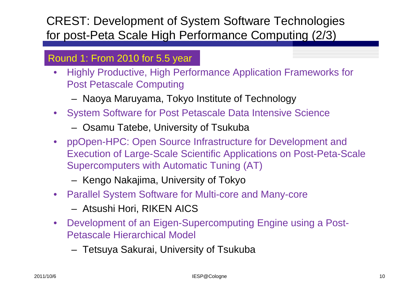### CREST: Development of System Software Technologies for post-Peta Scale High Performance Computing (2/3)

#### Round 1: From 2010 for 5.5 year

- • Highly Productive, High Performance Application Frameworks for Post Petascale Computing
	- Naoya Maruyama, Tokyo Institute of Technology
- System Software for Post Petascale Data Intensive Science
	- Osamu Tatebe, University of Tsukuba
- ppOpen-HPC: Open Source Infrastructure for Development and Execution of Large-Scale Scientific Applications on Post-Peta-Scale Supercomputers with Automatic Tuning (AT)
	- Kengo Nakajima, University of Tokyo
- Parallel System Software for Multi-core and Many-core
	- Atsushi Hori, RIKEN AICS
- • Development of an Eigen-Supercomputing Engine using a Post-Petascale Hierarchical Model
	- –Tetsuya Sakurai, University of Tsukuba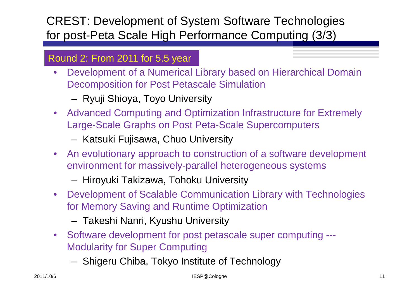### CREST: Development of System Software Technologies for post-Peta Scale High Performance Computing (3/3)

#### Round 2: From 2011 for 5.5 year

- • Development of a Numerical Library based on Hierarchical Domain Decomposition for Post Petascale Simulation
	- Ryuji Shioya, Toyo University
- Advanced Computing and Optimization Infrastructure for Extremely Large-Scale Graphs on Post Peta-Scale Supercomputers
	- Katsuki Fujisawa, Chuo University
- • An evolutionary approach to construction of a software development environment for massively-parallel heterogeneous systems
	- Hiroyuki Takizawa, Tohoku University
- Development of Scalable Communication Library with Technologies for Memory Saving and Runtime Optimization
	- –— Takeshi Nanri, Kyushu University
- • Software development for post petascale super computing --- Modularity for Super Computing
	- – $-$  Shigeru Chiba, Tokyo Institute of Technology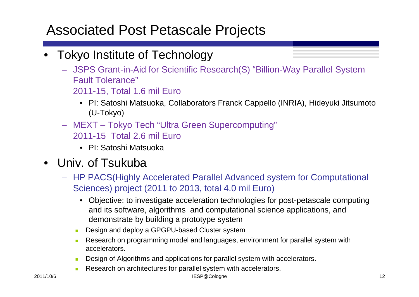### Associated Post Petascale Projects

- • Tokyo Institute of Technology
	- JSPS Grant-in-Aid for Scientific Research(S) "Billion-Way Parallel System Fault Tolerance" 2011-15, Total 1.6 mil Euro
		- PI: Satoshi Matsuoka, Collaborators Franck Cappello (INRIA), Hideyuki Jitsumoto (U-Tokyo)
	- MEXT Tokyo Tech "Ultra Green Supercomputing" 2011-15 Total 2.6 mil Euro
		- PI: Satoshi Matsuoka
- • Univ. of Tsukuba
	- HP PACS(Highly Accelerated Parallel Advanced system for Computational Sciences) project (2011 to 2013, total 4.0 mil Euro)
		- Objective: to investigate acceleration technologies for post-petascale computing and its software, algorithms and computational science applications, and demonstrate by building a prototype system
		- П Design and deploy a GPGPU-based Cluster system
		- П Research on programming model and languages, environment for parallel system with accelerators.
		- П Design of Algorithms and applications for parallel system with accelerators.
		- П Research on architectures for parallel system with accelerators.

in the set of the set of the set of the set of the set of the set of the set of the set of the set of the set o